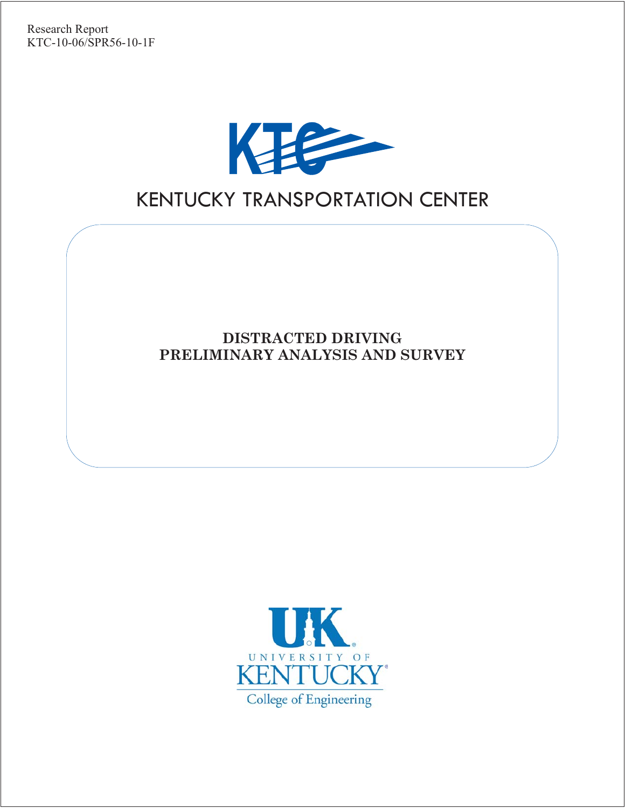

# KENTUCKY TRANSPORTATION CENTER

**DISTRACTED DRIVING PRELIMINARY ANALYSIS AND SURVEY**

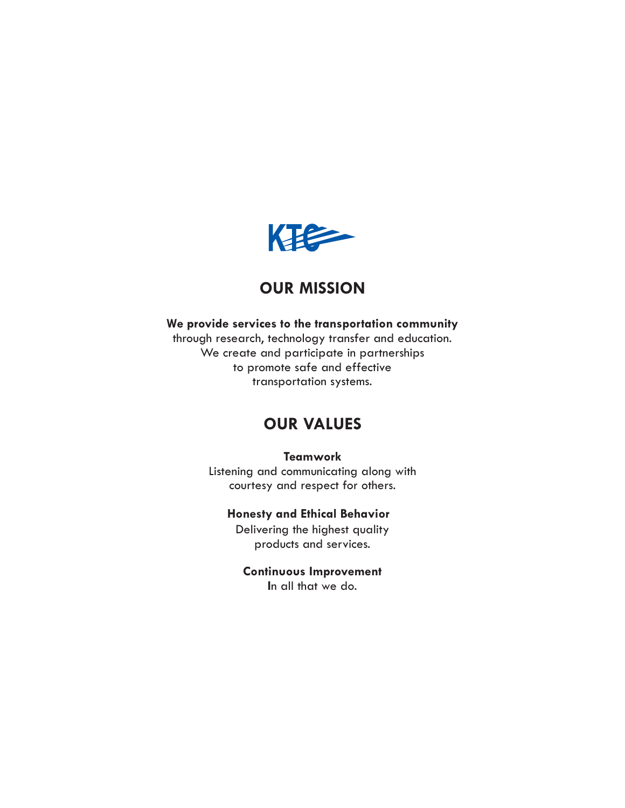

## **OUR MISSION**

#### **We provide services to the transportation community**

through research, technology transfer and education. We create and participate in partnerships to promote safe and effective transportation systems.

## **OUR VALUES**

**Teamwork**

Listening and communicating along with courtesy and respect for others.

## **Honesty and Ethical Behavior**

Delivering the highest quality products and services.

**Continuous Improvement I**n all that we do.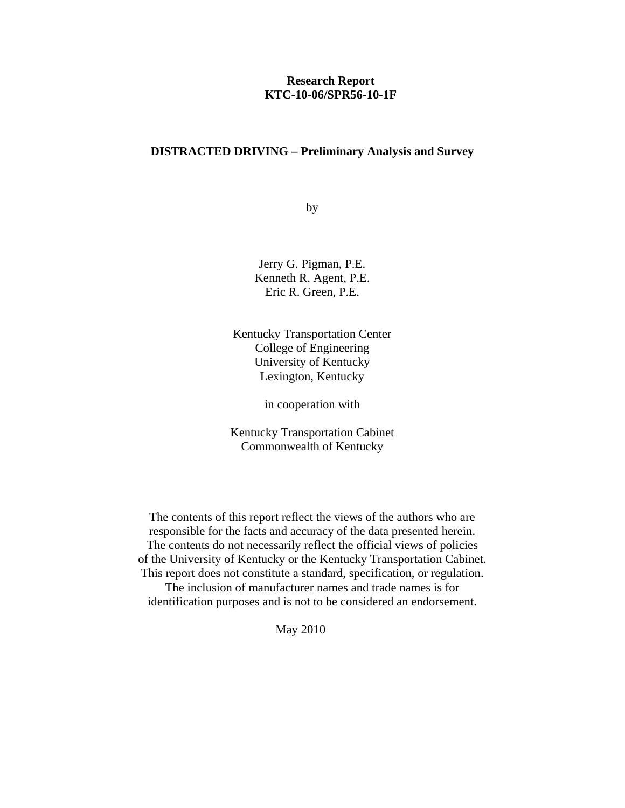#### **Research Report KTC-10-06/SPR56-10-1F**

#### **DISTRACTED DRIVING – Preliminary Analysis and Survey**

by

Jerry G. Pigman, P.E. Kenneth R. Agent, P.E. Eric R. Green, P.E.

Kentucky Transportation Center College of Engineering University of Kentucky Lexington, Kentucky

in cooperation with

Kentucky Transportation Cabinet Commonwealth of Kentucky

The contents of this report reflect the views of the authors who are responsible for the facts and accuracy of the data presented herein. The contents do not necessarily reflect the official views of policies of the University of Kentucky or the Kentucky Transportation Cabinet. This report does not constitute a standard, specification, or regulation. The inclusion of manufacturer names and trade names is for identification purposes and is not to be considered an endorsement.

May 2010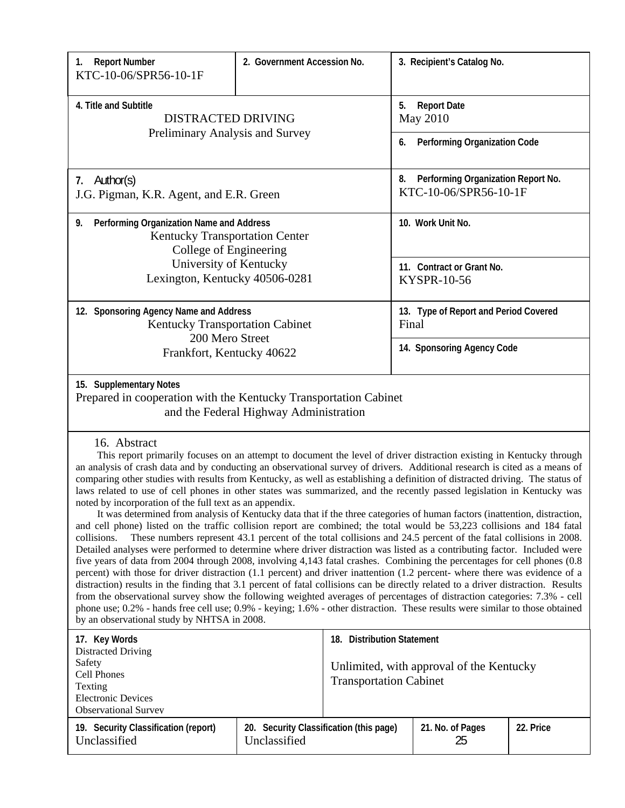| <b>Report Number</b><br>1.<br>KTC-10-06/SPR56-10-1F                                                                                                                                                                                                                                                                                                                                                                                                                                                                                                                                                                                                                                                                                                                                                                                                                                                                                                                                                                                                                                                                                                                                                                                                                                                                                                                                                                                                                                                                                                                                                                                                                                                                                                                                                                        | 2. Government Accession No.                                       |                                             | 3. Recipient's Catalog No.                      |  |  |
|----------------------------------------------------------------------------------------------------------------------------------------------------------------------------------------------------------------------------------------------------------------------------------------------------------------------------------------------------------------------------------------------------------------------------------------------------------------------------------------------------------------------------------------------------------------------------------------------------------------------------------------------------------------------------------------------------------------------------------------------------------------------------------------------------------------------------------------------------------------------------------------------------------------------------------------------------------------------------------------------------------------------------------------------------------------------------------------------------------------------------------------------------------------------------------------------------------------------------------------------------------------------------------------------------------------------------------------------------------------------------------------------------------------------------------------------------------------------------------------------------------------------------------------------------------------------------------------------------------------------------------------------------------------------------------------------------------------------------------------------------------------------------------------------------------------------------|-------------------------------------------------------------------|---------------------------------------------|-------------------------------------------------|--|--|
| 4. Title and Subtitle<br><b>DISTRACTED DRIVING</b>                                                                                                                                                                                                                                                                                                                                                                                                                                                                                                                                                                                                                                                                                                                                                                                                                                                                                                                                                                                                                                                                                                                                                                                                                                                                                                                                                                                                                                                                                                                                                                                                                                                                                                                                                                         |                                                                   | <b>Report Date</b><br>5.<br><b>May 2010</b> |                                                 |  |  |
| Preliminary Analysis and Survey                                                                                                                                                                                                                                                                                                                                                                                                                                                                                                                                                                                                                                                                                                                                                                                                                                                                                                                                                                                                                                                                                                                                                                                                                                                                                                                                                                                                                                                                                                                                                                                                                                                                                                                                                                                            |                                                                   |                                             | <b>Performing Organization Code</b><br>6.       |  |  |
| 7. Author(s)<br>J.G. Pigman, K.R. Agent, and E.R. Green                                                                                                                                                                                                                                                                                                                                                                                                                                                                                                                                                                                                                                                                                                                                                                                                                                                                                                                                                                                                                                                                                                                                                                                                                                                                                                                                                                                                                                                                                                                                                                                                                                                                                                                                                                    | Performing Organization Report No.<br>8.<br>KTC-10-06/SPR56-10-1F |                                             |                                                 |  |  |
| Performing Organization Name and Address<br>9.<br><b>Kentucky Transportation Center</b><br>College of Engineering                                                                                                                                                                                                                                                                                                                                                                                                                                                                                                                                                                                                                                                                                                                                                                                                                                                                                                                                                                                                                                                                                                                                                                                                                                                                                                                                                                                                                                                                                                                                                                                                                                                                                                          |                                                                   |                                             | 10. Work Unit No.                               |  |  |
| University of Kentucky<br>Lexington, Kentucky 40506-0281                                                                                                                                                                                                                                                                                                                                                                                                                                                                                                                                                                                                                                                                                                                                                                                                                                                                                                                                                                                                                                                                                                                                                                                                                                                                                                                                                                                                                                                                                                                                                                                                                                                                                                                                                                   |                                                                   |                                             | 11. Contract or Grant No.<br><b>KYSPR-10-56</b> |  |  |
| 12. Sponsoring Agency Name and Address<br><b>Kentucky Transportation Cabinet</b>                                                                                                                                                                                                                                                                                                                                                                                                                                                                                                                                                                                                                                                                                                                                                                                                                                                                                                                                                                                                                                                                                                                                                                                                                                                                                                                                                                                                                                                                                                                                                                                                                                                                                                                                           |                                                                   |                                             | 13. Type of Report and Period Covered<br>Final  |  |  |
| 200 Mero Street<br>Frankfort, Kentucky 40622                                                                                                                                                                                                                                                                                                                                                                                                                                                                                                                                                                                                                                                                                                                                                                                                                                                                                                                                                                                                                                                                                                                                                                                                                                                                                                                                                                                                                                                                                                                                                                                                                                                                                                                                                                               |                                                                   |                                             | 14. Sponsoring Agency Code                      |  |  |
| 15. Supplementary Notes<br>Prepared in cooperation with the Kentucky Transportation Cabinet<br>and the Federal Highway Administration                                                                                                                                                                                                                                                                                                                                                                                                                                                                                                                                                                                                                                                                                                                                                                                                                                                                                                                                                                                                                                                                                                                                                                                                                                                                                                                                                                                                                                                                                                                                                                                                                                                                                      |                                                                   |                                             |                                                 |  |  |
| 16. Abstract<br>This report primarily focuses on an attempt to document the level of driver distraction existing in Kentucky through<br>an analysis of crash data and by conducting an observational survey of drivers. Additional research is cited as a means of<br>comparing other studies with results from Kentucky, as well as establishing a definition of distracted driving. The status of<br>laws related to use of cell phones in other states was summarized, and the recently passed legislation in Kentucky was<br>noted by incorporation of the full text as an appendix.<br>It was determined from analysis of Kentucky data that if the three categories of human factors (inattention, distraction,<br>and cell phone) listed on the traffic collision report are combined; the total would be 53,223 collisions and 184 fatal<br>These numbers represent 43.1 percent of the total collisions and 24.5 percent of the fatal collisions in 2008.<br>collisions.<br>Detailed analyses were performed to determine where driver distraction was listed as a contributing factor. Included were<br>five years of data from 2004 through 2008, involving 4,143 fatal crashes. Combining the percentages for cell phones (0.8)<br>percent) with those for driver distraction (1.1 percent) and driver inattention (1.2 percent- where there was evidence of a<br>distraction) results in the finding that 3.1 percent of fatal collisions can be directly related to a driver distraction. Results<br>from the observational survey show the following weighted averages of percentages of distraction categories: 7.3% - cell<br>phone use; 0.2% - hands free cell use; 0.9% - keying; 1.6% - other distraction. These results were similar to those obtained<br>by an observational study by NHTSA in 2008. |                                                                   |                                             |                                                 |  |  |
| 17. Key Words<br><b>Distracted Driving</b><br>Safety                                                                                                                                                                                                                                                                                                                                                                                                                                                                                                                                                                                                                                                                                                                                                                                                                                                                                                                                                                                                                                                                                                                                                                                                                                                                                                                                                                                                                                                                                                                                                                                                                                                                                                                                                                       |                                                                   | 18. Distribution Statement                  | I Inlimited with approval of the Kentucky       |  |  |

Unlimited, with approval of the Kentucky Transportation Cabinet

| <b>Observational Survey</b>                          |                                                         |                  |           |
|------------------------------------------------------|---------------------------------------------------------|------------------|-----------|
| 19. Security Classification (report)<br>Unclassified | 20. Security Classification (this page)<br>Unclassified | 21. No. of Pages | 22. Price |

Cell Phones Texting

Electronic Devices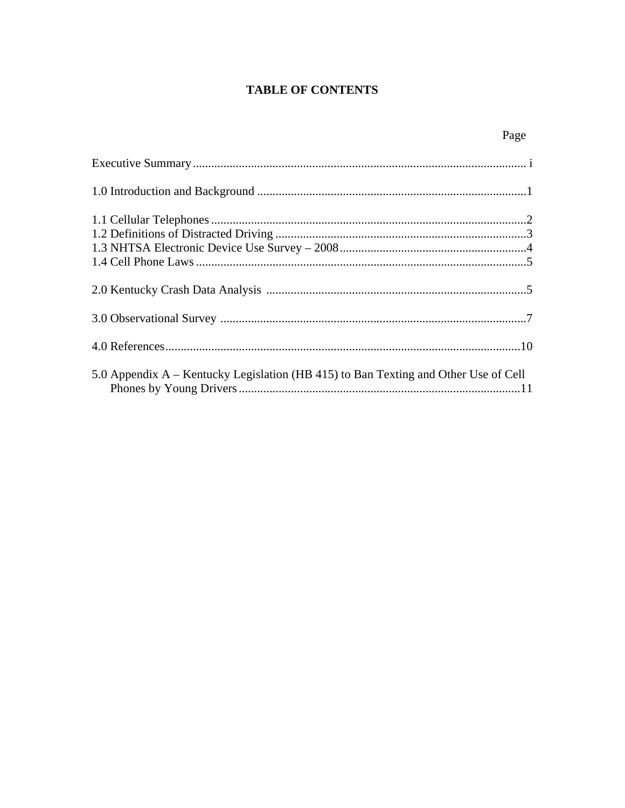## **TABLE OF CONTENTS**

| 5.0 Appendix A – Kentucky Legislation (HB 415) to Ban Texting and Other Use of Cell |  |
|-------------------------------------------------------------------------------------|--|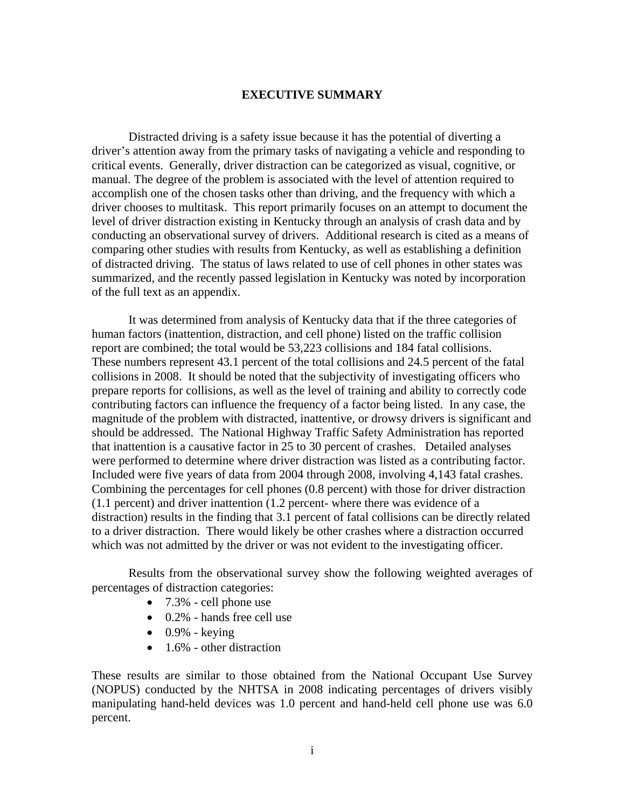#### **EXECUTIVE SUMMARY**

 Distracted driving is a safety issue because it has the potential of diverting a driver's attention away from the primary tasks of navigating a vehicle and responding to critical events. Generally, driver distraction can be categorized as visual, cognitive, or manual. The degree of the problem is associated with the level of attention required to accomplish one of the chosen tasks other than driving, and the frequency with which a driver chooses to multitask. This report primarily focuses on an attempt to document the level of driver distraction existing in Kentucky through an analysis of crash data and by conducting an observational survey of drivers. Additional research is cited as a means of comparing other studies with results from Kentucky, as well as establishing a definition of distracted driving. The status of laws related to use of cell phones in other states was summarized, and the recently passed legislation in Kentucky was noted by incorporation of the full text as an appendix.

It was determined from analysis of Kentucky data that if the three categories of human factors (inattention, distraction, and cell phone) listed on the traffic collision report are combined; the total would be 53,223 collisions and 184 fatal collisions. These numbers represent 43.1 percent of the total collisions and 24.5 percent of the fatal collisions in 2008. It should be noted that the subjectivity of investigating officers who prepare reports for collisions, as well as the level of training and ability to correctly code contributing factors can influence the frequency of a factor being listed. In any case, the magnitude of the problem with distracted, inattentive, or drowsy drivers is significant and should be addressed. The National Highway Traffic Safety Administration has reported that inattention is a causative factor in 25 to 30 percent of crashes. Detailed analyses were performed to determine where driver distraction was listed as a contributing factor. Included were five years of data from 2004 through 2008, involving 4,143 fatal crashes. Combining the percentages for cell phones (0.8 percent) with those for driver distraction (1.1 percent) and driver inattention (1.2 percent- where there was evidence of a distraction) results in the finding that 3.1 percent of fatal collisions can be directly related to a driver distraction. There would likely be other crashes where a distraction occurred which was not admitted by the driver or was not evident to the investigating officer.

 Results from the observational survey show the following weighted averages of percentages of distraction categories:

- 7.3% cell phone use
	- 0.2% hands free cell use
	- $\bullet$  0.9% keying
	- $\bullet$  1.6% other distraction

These results are similar to those obtained from the National Occupant Use Survey (NOPUS) conducted by the NHTSA in 2008 indicating percentages of drivers visibly manipulating hand-held devices was 1.0 percent and hand-held cell phone use was 6.0 percent.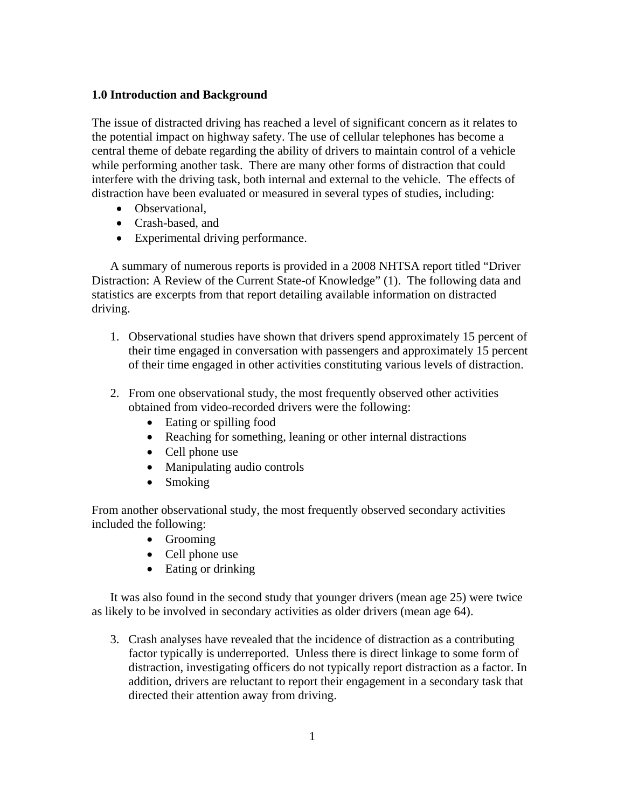### **1.0 Introduction and Background**

The issue of distracted driving has reached a level of significant concern as it relates to the potential impact on highway safety. The use of cellular telephones has become a central theme of debate regarding the ability of drivers to maintain control of a vehicle while performing another task. There are many other forms of distraction that could interfere with the driving task, both internal and external to the vehicle. The effects of distraction have been evaluated or measured in several types of studies, including:

- Observational,
- Crash-based, and
- Experimental driving performance.

A summary of numerous reports is provided in a 2008 NHTSA report titled "Driver Distraction: A Review of the Current State-of Knowledge" (1). The following data and statistics are excerpts from that report detailing available information on distracted driving.

- 1. Observational studies have shown that drivers spend approximately 15 percent of their time engaged in conversation with passengers and approximately 15 percent of their time engaged in other activities constituting various levels of distraction.
- 2. From one observational study, the most frequently observed other activities obtained from video-recorded drivers were the following:
	- Eating or spilling food
	- Reaching for something, leaning or other internal distractions
	- Cell phone use
	- Manipulating audio controls
	- Smoking

From another observational study, the most frequently observed secondary activities included the following:

- Grooming
- Cell phone use
- Eating or drinking

It was also found in the second study that younger drivers (mean age 25) were twice as likely to be involved in secondary activities as older drivers (mean age 64).

3. Crash analyses have revealed that the incidence of distraction as a contributing factor typically is underreported. Unless there is direct linkage to some form of distraction, investigating officers do not typically report distraction as a factor. In addition, drivers are reluctant to report their engagement in a secondary task that directed their attention away from driving.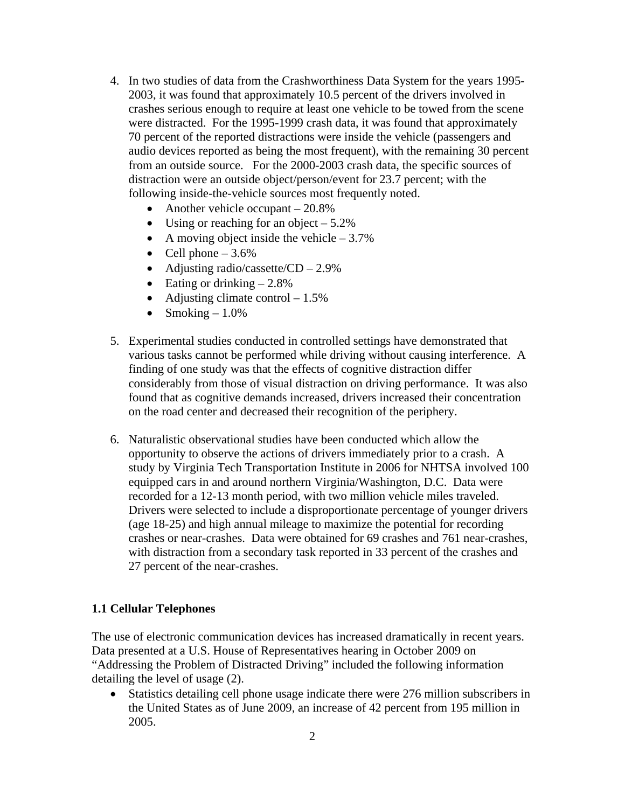- 4. In two studies of data from the Crashworthiness Data System for the years 1995- 2003, it was found that approximately 10.5 percent of the drivers involved in crashes serious enough to require at least one vehicle to be towed from the scene were distracted. For the 1995-1999 crash data, it was found that approximately 70 percent of the reported distractions were inside the vehicle (passengers and audio devices reported as being the most frequent), with the remaining 30 percent from an outside source. For the 2000-2003 crash data, the specific sources of distraction were an outside object/person/event for 23.7 percent; with the following inside-the-vehicle sources most frequently noted.
	- Another vehicle occupant 20.8%
	- Using or reaching for an object  $-5.2\%$
	- A moving object inside the vehicle  $-3.7\%$
	- Cell phone  $-3.6\%$
	- Adjusting radio/cassette/CD 2.9%
	- Eating or drinking  $-2.8\%$
	- Adjusting climate control  $-1.5\%$
	- Smoking  $-1.0\%$
- 5. Experimental studies conducted in controlled settings have demonstrated that various tasks cannot be performed while driving without causing interference. A finding of one study was that the effects of cognitive distraction differ considerably from those of visual distraction on driving performance. It was also found that as cognitive demands increased, drivers increased their concentration on the road center and decreased their recognition of the periphery.
- 6. Naturalistic observational studies have been conducted which allow the opportunity to observe the actions of drivers immediately prior to a crash. A study by Virginia Tech Transportation Institute in 2006 for NHTSA involved 100 equipped cars in and around northern Virginia/Washington, D.C. Data were recorded for a 12-13 month period, with two million vehicle miles traveled. Drivers were selected to include a disproportionate percentage of younger drivers (age 18-25) and high annual mileage to maximize the potential for recording crashes or near-crashes. Data were obtained for 69 crashes and 761 near-crashes, with distraction from a secondary task reported in 33 percent of the crashes and 27 percent of the near-crashes.

#### **1.1 Cellular Telephones**

The use of electronic communication devices has increased dramatically in recent years. Data presented at a U.S. House of Representatives hearing in October 2009 on "Addressing the Problem of Distracted Driving" included the following information detailing the level of usage (2).

 Statistics detailing cell phone usage indicate there were 276 million subscribers in the United States as of June 2009, an increase of 42 percent from 195 million in 2005.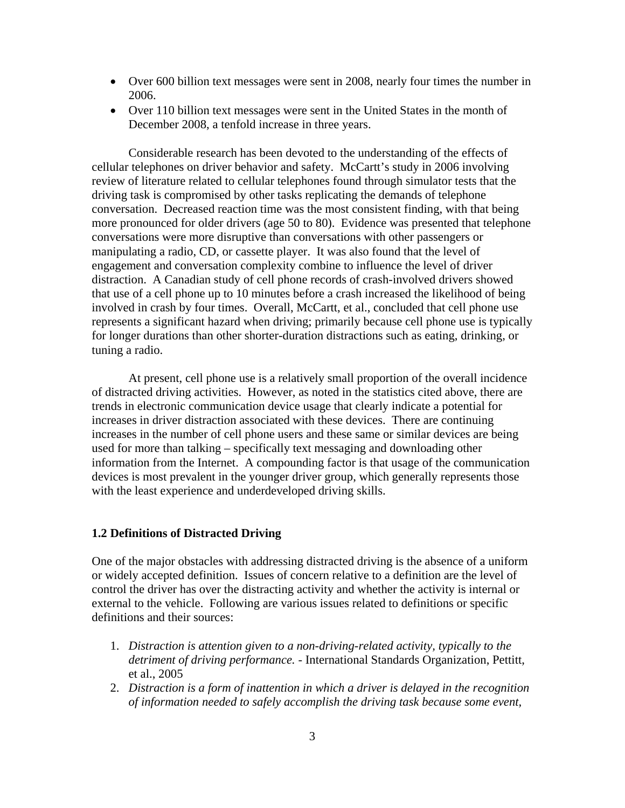- Over 600 billion text messages were sent in 2008, nearly four times the number in 2006.
- Over 110 billion text messages were sent in the United States in the month of December 2008, a tenfold increase in three years.

Considerable research has been devoted to the understanding of the effects of cellular telephones on driver behavior and safety. McCartt's study in 2006 involving review of literature related to cellular telephones found through simulator tests that the driving task is compromised by other tasks replicating the demands of telephone conversation. Decreased reaction time was the most consistent finding, with that being more pronounced for older drivers (age 50 to 80). Evidence was presented that telephone conversations were more disruptive than conversations with other passengers or manipulating a radio, CD, or cassette player. It was also found that the level of engagement and conversation complexity combine to influence the level of driver distraction. A Canadian study of cell phone records of crash-involved drivers showed that use of a cell phone up to 10 minutes before a crash increased the likelihood of being involved in crash by four times. Overall, McCartt, et al., concluded that cell phone use represents a significant hazard when driving; primarily because cell phone use is typically for longer durations than other shorter-duration distractions such as eating, drinking, or tuning a radio.

 At present, cell phone use is a relatively small proportion of the overall incidence of distracted driving activities. However, as noted in the statistics cited above, there are trends in electronic communication device usage that clearly indicate a potential for increases in driver distraction associated with these devices. There are continuing increases in the number of cell phone users and these same or similar devices are being used for more than talking – specifically text messaging and downloading other information from the Internet. A compounding factor is that usage of the communication devices is most prevalent in the younger driver group, which generally represents those with the least experience and underdeveloped driving skills.

#### **1.2 Definitions of Distracted Driving**

One of the major obstacles with addressing distracted driving is the absence of a uniform or widely accepted definition. Issues of concern relative to a definition are the level of control the driver has over the distracting activity and whether the activity is internal or external to the vehicle. Following are various issues related to definitions or specific definitions and their sources:

- 1. *Distraction is attention given to a non-driving-related activity, typically to the detriment of driving performance.* - International Standards Organization, Pettitt, et al., 2005
- 2. *Distraction is a form of inattention in which a driver is delayed in the recognition of information needed to safely accomplish the driving task because some event,*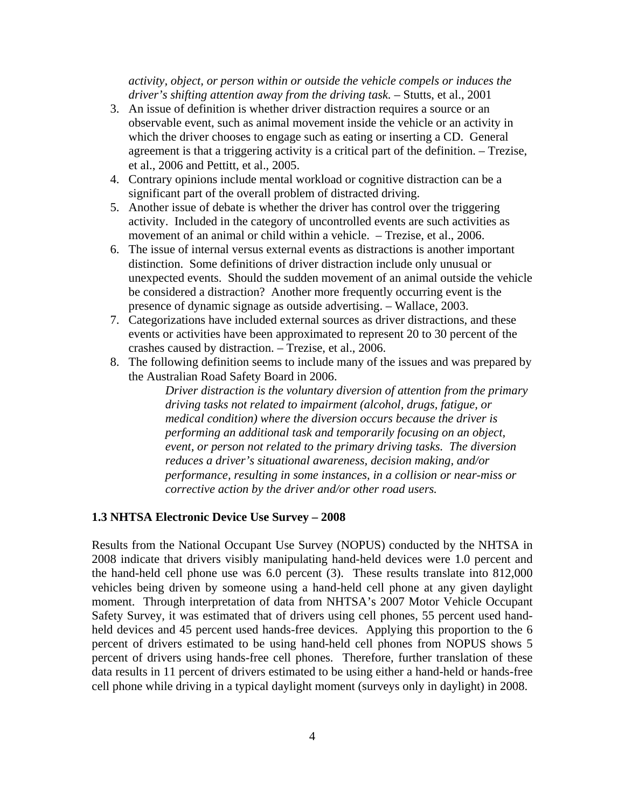#### *activity, object, or person within or outside the vehicle compels or induces the driver's shifting attention away from the driving task.* – Stutts, et al., 2001

- 3. An issue of definition is whether driver distraction requires a source or an observable event, such as animal movement inside the vehicle or an activity in which the driver chooses to engage such as eating or inserting a CD. General agreement is that a triggering activity is a critical part of the definition. – Trezise, et al., 2006 and Pettitt, et al., 2005.
- 4. Contrary opinions include mental workload or cognitive distraction can be a significant part of the overall problem of distracted driving.
- 5. Another issue of debate is whether the driver has control over the triggering activity. Included in the category of uncontrolled events are such activities as movement of an animal or child within a vehicle. – Trezise, et al., 2006.
- 6. The issue of internal versus external events as distractions is another important distinction. Some definitions of driver distraction include only unusual or unexpected events. Should the sudden movement of an animal outside the vehicle be considered a distraction? Another more frequently occurring event is the presence of dynamic signage as outside advertising. – Wallace, 2003.
- 7. Categorizations have included external sources as driver distractions, and these events or activities have been approximated to represent 20 to 30 percent of the crashes caused by distraction. – Trezise, et al., 2006.
- 8. The following definition seems to include many of the issues and was prepared by the Australian Road Safety Board in 2006.

*Driver distraction is the voluntary diversion of attention from the primary driving tasks not related to impairment (alcohol, drugs, fatigue, or medical condition) where the diversion occurs because the driver is performing an additional task and temporarily focusing on an object, event, or person not related to the primary driving tasks. The diversion reduces a driver's situational awareness, decision making, and/or performance, resulting in some instances, in a collision or near-miss or corrective action by the driver and/or other road users.* 

#### **1.3 NHTSA Electronic Device Use Survey – 2008**

Results from the National Occupant Use Survey (NOPUS) conducted by the NHTSA in 2008 indicate that drivers visibly manipulating hand-held devices were 1.0 percent and the hand-held cell phone use was 6.0 percent (3). These results translate into 812,000 vehicles being driven by someone using a hand-held cell phone at any given daylight moment. Through interpretation of data from NHTSA's 2007 Motor Vehicle Occupant Safety Survey, it was estimated that of drivers using cell phones, 55 percent used handheld devices and 45 percent used hands-free devices. Applying this proportion to the 6 percent of drivers estimated to be using hand-held cell phones from NOPUS shows 5 percent of drivers using hands-free cell phones. Therefore, further translation of these data results in 11 percent of drivers estimated to be using either a hand-held or hands-free cell phone while driving in a typical daylight moment (surveys only in daylight) in 2008.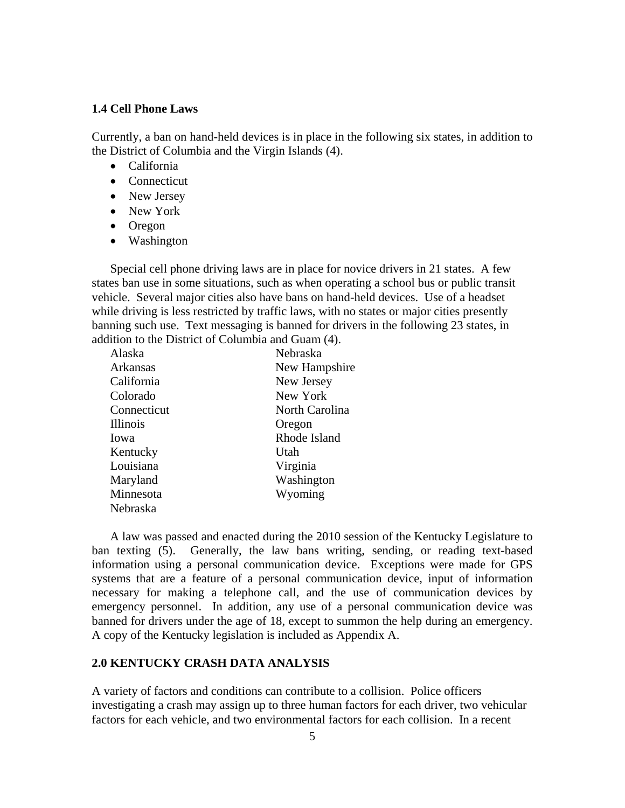#### **1.4 Cell Phone Laws**

Currently, a ban on hand-held devices is in place in the following six states, in addition to the District of Columbia and the Virgin Islands (4).

- California
- Connecticut
- New Jersey
- New York
- Oregon
- Washington

Special cell phone driving laws are in place for novice drivers in 21 states. A few states ban use in some situations, such as when operating a school bus or public transit vehicle. Several major cities also have bans on hand-held devices. Use of a headset while driving is less restricted by traffic laws, with no states or major cities presently banning such use. Text messaging is banned for drivers in the following 23 states, in addition to the District of Columbia and Guam (4).

| Alaska          | Nebraska       |
|-----------------|----------------|
| Arkansas        | New Hampshire  |
| California      | New Jersey     |
| Colorado        | New York       |
| Connecticut     | North Carolina |
| <b>Illinois</b> | Oregon         |
| lowa            | Rhode Island   |
| Kentucky        | Utah           |
| Louisiana       | Virginia       |
| Maryland        | Washington     |
| Minnesota       | Wyoming        |
| Nebraska        |                |

A law was passed and enacted during the 2010 session of the Kentucky Legislature to ban texting (5). Generally, the law bans writing, sending, or reading text-based information using a personal communication device. Exceptions were made for GPS systems that are a feature of a personal communication device, input of information necessary for making a telephone call, and the use of communication devices by emergency personnel. In addition, any use of a personal communication device was banned for drivers under the age of 18, except to summon the help during an emergency. A copy of the Kentucky legislation is included as Appendix A.

## **2.0 KENTUCKY CRASH DATA ANALYSIS**

A variety of factors and conditions can contribute to a collision. Police officers investigating a crash may assign up to three human factors for each driver, two vehicular factors for each vehicle, and two environmental factors for each collision. In a recent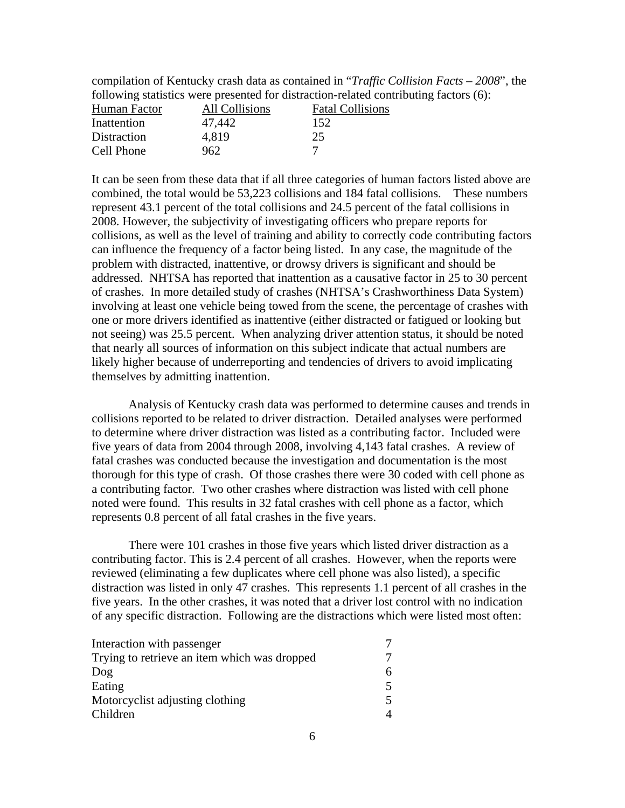compilation of Kentucky crash data as contained in "*Traffic Collision Facts – 2008*", the following statistics were presented for distraction-related contributing factors (6):

| Human Factor | All Collisions | <b>Fatal Collisions</b> |
|--------------|----------------|-------------------------|
| Inattention  | 47,442         | 152                     |
| Distraction  | 4.819          | 25                      |
| Cell Phone   | 962            |                         |

It can be seen from these data that if all three categories of human factors listed above are combined, the total would be 53,223 collisions and 184 fatal collisions. These numbers represent 43.1 percent of the total collisions and 24.5 percent of the fatal collisions in 2008. However, the subjectivity of investigating officers who prepare reports for collisions, as well as the level of training and ability to correctly code contributing factors can influence the frequency of a factor being listed. In any case, the magnitude of the problem with distracted, inattentive, or drowsy drivers is significant and should be addressed. NHTSA has reported that inattention as a causative factor in 25 to 30 percent of crashes. In more detailed study of crashes (NHTSA's Crashworthiness Data System) involving at least one vehicle being towed from the scene, the percentage of crashes with one or more drivers identified as inattentive (either distracted or fatigued or looking but not seeing) was 25.5 percent. When analyzing driver attention status, it should be noted that nearly all sources of information on this subject indicate that actual numbers are likely higher because of underreporting and tendencies of drivers to avoid implicating themselves by admitting inattention.

Analysis of Kentucky crash data was performed to determine causes and trends in collisions reported to be related to driver distraction. Detailed analyses were performed to determine where driver distraction was listed as a contributing factor. Included were five years of data from 2004 through 2008, involving 4,143 fatal crashes. A review of fatal crashes was conducted because the investigation and documentation is the most thorough for this type of crash. Of those crashes there were 30 coded with cell phone as a contributing factor. Two other crashes where distraction was listed with cell phone noted were found. This results in 32 fatal crashes with cell phone as a factor, which represents 0.8 percent of all fatal crashes in the five years.

There were 101 crashes in those five years which listed driver distraction as a contributing factor. This is 2.4 percent of all crashes. However, when the reports were reviewed (eliminating a few duplicates where cell phone was also listed), a specific distraction was listed in only 47 crashes. This represents 1.1 percent of all crashes in the five years. In the other crashes, it was noted that a driver lost control with no indication of any specific distraction. Following are the distractions which were listed most often:

| Interaction with passenger                   |  |
|----------------------------------------------|--|
| Trying to retrieve an item which was dropped |  |
| Dog                                          |  |
| Eating                                       |  |
| Motorcyclist adjusting clothing              |  |
| Children                                     |  |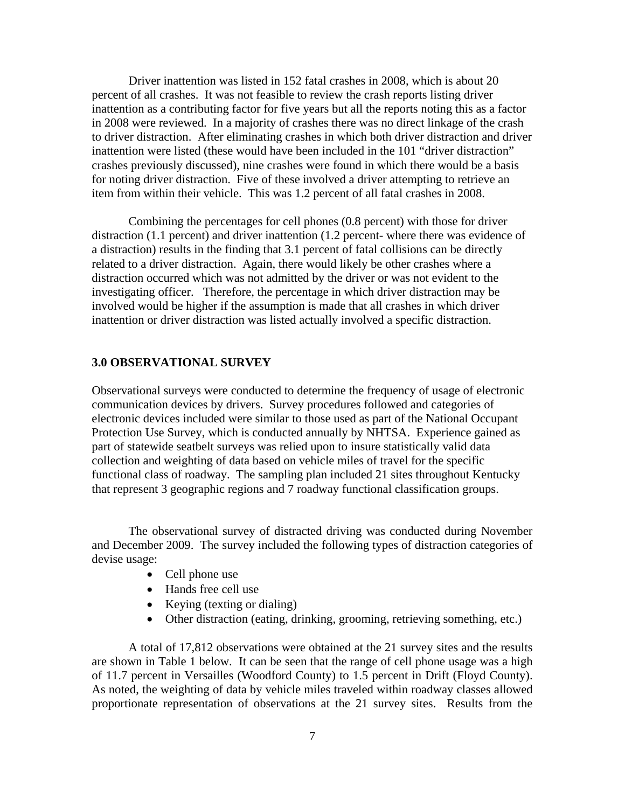Driver inattention was listed in 152 fatal crashes in 2008, which is about 20 percent of all crashes. It was not feasible to review the crash reports listing driver inattention as a contributing factor for five years but all the reports noting this as a factor in 2008 were reviewed. In a majority of crashes there was no direct linkage of the crash to driver distraction. After eliminating crashes in which both driver distraction and driver inattention were listed (these would have been included in the 101 "driver distraction" crashes previously discussed), nine crashes were found in which there would be a basis for noting driver distraction. Five of these involved a driver attempting to retrieve an item from within their vehicle. This was 1.2 percent of all fatal crashes in 2008.

Combining the percentages for cell phones (0.8 percent) with those for driver distraction (1.1 percent) and driver inattention (1.2 percent- where there was evidence of a distraction) results in the finding that 3.1 percent of fatal collisions can be directly related to a driver distraction. Again, there would likely be other crashes where a distraction occurred which was not admitted by the driver or was not evident to the investigating officer. Therefore, the percentage in which driver distraction may be involved would be higher if the assumption is made that all crashes in which driver inattention or driver distraction was listed actually involved a specific distraction.

#### **3.0 OBSERVATIONAL SURVEY**

Observational surveys were conducted to determine the frequency of usage of electronic communication devices by drivers. Survey procedures followed and categories of electronic devices included were similar to those used as part of the National Occupant Protection Use Survey, which is conducted annually by NHTSA. Experience gained as part of statewide seatbelt surveys was relied upon to insure statistically valid data collection and weighting of data based on vehicle miles of travel for the specific functional class of roadway. The sampling plan included 21 sites throughout Kentucky that represent 3 geographic regions and 7 roadway functional classification groups.

The observational survey of distracted driving was conducted during November and December 2009. The survey included the following types of distraction categories of devise usage:

- Cell phone use
- Hands free cell use
- Keying (texting or dialing)
- Other distraction (eating, drinking, grooming, retrieving something, etc.)

A total of 17,812 observations were obtained at the 21 survey sites and the results are shown in Table 1 below. It can be seen that the range of cell phone usage was a high of 11.7 percent in Versailles (Woodford County) to 1.5 percent in Drift (Floyd County). As noted, the weighting of data by vehicle miles traveled within roadway classes allowed proportionate representation of observations at the 21 survey sites. Results from the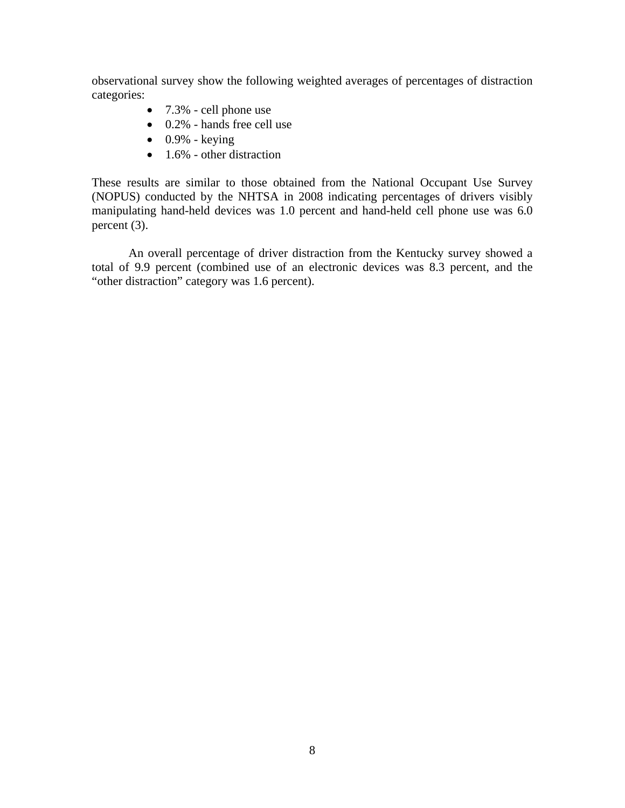observational survey show the following weighted averages of percentages of distraction categories:

- 7.3% cell phone use
- 0.2% hands free cell use
- $\bullet$  0.9% keying
- $\bullet$  1.6% other distraction

These results are similar to those obtained from the National Occupant Use Survey (NOPUS) conducted by the NHTSA in 2008 indicating percentages of drivers visibly manipulating hand-held devices was 1.0 percent and hand-held cell phone use was 6.0 percent (3).

An overall percentage of driver distraction from the Kentucky survey showed a total of 9.9 percent (combined use of an electronic devices was 8.3 percent, and the "other distraction" category was 1.6 percent).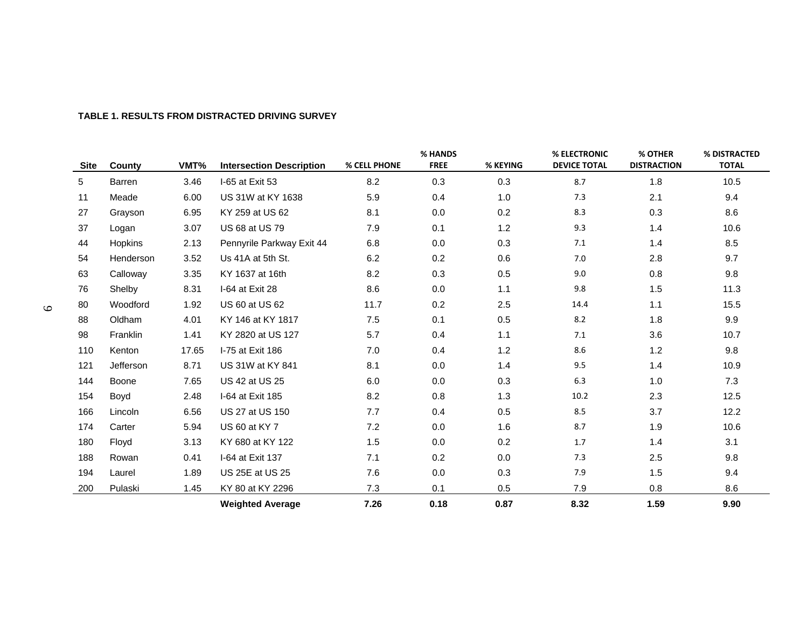| <b>Site</b> | County        | VMT%  | <b>Intersection Description</b> | % CELL PHONE | % HANDS<br><b>FREE</b> | % KEYING | % ELECTRONIC<br><b>DEVICE TOTAL</b> | % OTHER<br><b>DISTRACTION</b> | % DISTRACTED<br><b>TOTAL</b> |
|-------------|---------------|-------|---------------------------------|--------------|------------------------|----------|-------------------------------------|-------------------------------|------------------------------|
| 5           | <b>Barren</b> | 3.46  | I-65 at Exit 53                 | 8.2          | 0.3                    | 0.3      | 8.7                                 | 1.8                           | 10.5                         |
| 11          | Meade         | 6.00  | US 31W at KY 1638               | 5.9          | 0.4                    | 1.0      | 7.3                                 | 2.1                           | 9.4                          |
| 27          | Grayson       | 6.95  | KY 259 at US 62                 | 8.1          | 0.0                    | 0.2      | 8.3                                 | 0.3                           | 8.6                          |
| 37          | Logan         | 3.07  | US 68 at US 79                  | 7.9          | 0.1                    | 1.2      | 9.3                                 | 1.4                           | 10.6                         |
| 44          | Hopkins       | 2.13  | Pennyrile Parkway Exit 44       | 6.8          | 0.0                    | 0.3      | 7.1                                 | 1.4                           | 8.5                          |
| 54          | Henderson     | 3.52  | Us 41A at 5th St.               | 6.2          | 0.2                    | 0.6      | 7.0                                 | 2.8                           | 9.7                          |
| 63          | Calloway      | 3.35  | KY 1637 at 16th                 | 8.2          | 0.3                    | 0.5      | 9.0                                 | 0.8                           | 9.8                          |
| 76          | Shelby        | 8.31  | I-64 at Exit 28                 | 8.6          | 0.0                    | 1.1      | 9.8                                 | 1.5                           | 11.3                         |
| 80          | Woodford      | 1.92  | US 60 at US 62                  | 11.7         | 0.2                    | 2.5      | 14.4                                | 1.1                           | 15.5                         |
| 88          | Oldham        | 4.01  | KY 146 at KY 1817               | 7.5          | 0.1                    | 0.5      | 8.2                                 | 1.8                           | 9.9                          |
| 98          | Franklin      | 1.41  | KY 2820 at US 127               | 5.7          | 0.4                    | 1.1      | 7.1                                 | 3.6                           | 10.7                         |
| 110         | Kenton        | 17.65 | I-75 at Exit 186                | 7.0          | 0.4                    | 1.2      | 8.6                                 | 1.2                           | 9.8                          |
| 121         | Jefferson     | 8.71  | US 31W at KY 841                | 8.1          | 0.0                    | 1.4      | 9.5                                 | 1.4                           | 10.9                         |
| 144         | Boone         | 7.65  | US 42 at US 25                  | 6.0          | 0.0                    | 0.3      | 6.3                                 | 1.0                           | 7.3                          |
| 154         | Boyd          | 2.48  | I-64 at Exit 185                | 8.2          | 0.8                    | 1.3      | 10.2                                | 2.3                           | 12.5                         |
| 166         | Lincoln       | 6.56  | US 27 at US 150                 | 7.7          | 0.4                    | 0.5      | 8.5                                 | 3.7                           | 12.2                         |
| 174         | Carter        | 5.94  | US 60 at KY 7                   | 7.2          | 0.0                    | 1.6      | 8.7                                 | 1.9                           | 10.6                         |
| 180         | Floyd         | 3.13  | KY 680 at KY 122                | 1.5          | 0.0                    | 0.2      | 1.7                                 | 1.4                           | 3.1                          |
| 188         | Rowan         | 0.41  | I-64 at Exit 137                | 7.1          | 0.2                    | 0.0      | 7.3                                 | 2.5                           | 9.8                          |
| 194         | Laurel        | 1.89  | US 25E at US 25                 | 7.6          | 0.0                    | 0.3      | 7.9                                 | 1.5                           | 9.4                          |
| 200         | Pulaski       | 1.45  | KY 80 at KY 2296                | 7.3          | 0.1                    | 0.5      | 7.9                                 | 0.8                           | 8.6                          |
|             |               |       | <b>Weighted Average</b>         | 7.26         | 0.18                   | 0.87     | 8.32                                | 1.59                          | 9.90                         |

#### **TABLE 1. RESULTS FROM DISTRACTED DRIVING SURVEY**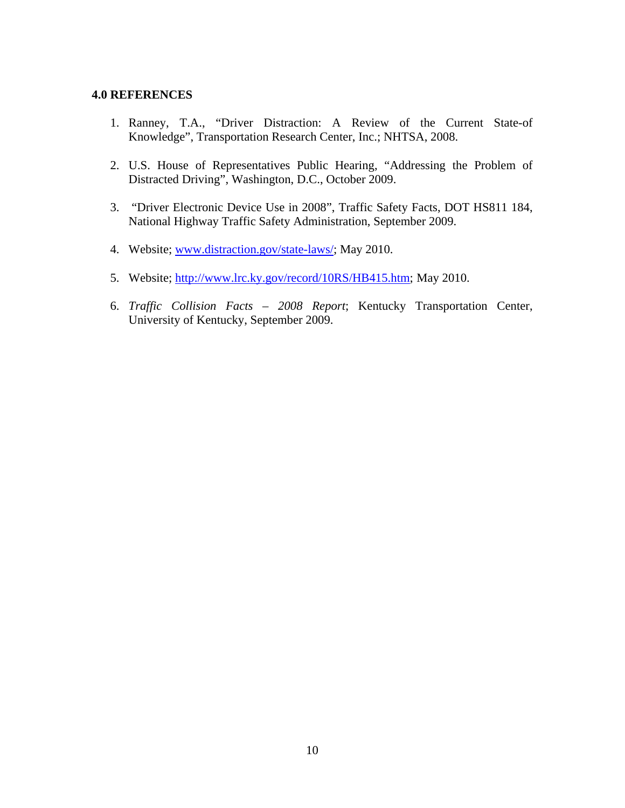#### **4.0 REFERENCES**

- 1. Ranney, T.A., "Driver Distraction: A Review of the Current State-of Knowledge", Transportation Research Center, Inc.; NHTSA, 2008.
- 2. U.S. House of Representatives Public Hearing, "Addressing the Problem of Distracted Driving", Washington, D.C., October 2009.
- 3. "Driver Electronic Device Use in 2008", Traffic Safety Facts, DOT HS811 184, National Highway Traffic Safety Administration, September 2009.
- 4. Website; www.distraction.gov/state-laws/; May 2010.
- 5. Website; http://www.lrc.ky.gov/record/10RS/HB415.htm; May 2010.
- 6. *Traffic Collision Facts 2008 Report*; Kentucky Transportation Center, University of Kentucky, September 2009.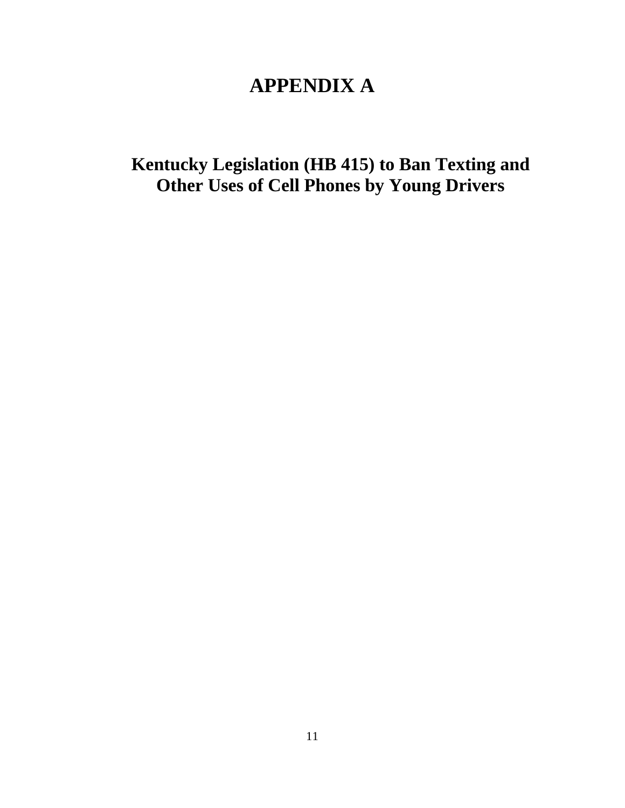# **APPENDIX A**

**Kentucky Legislation (HB 415) to Ban Texting and Other Uses of Cell Phones by Young Drivers**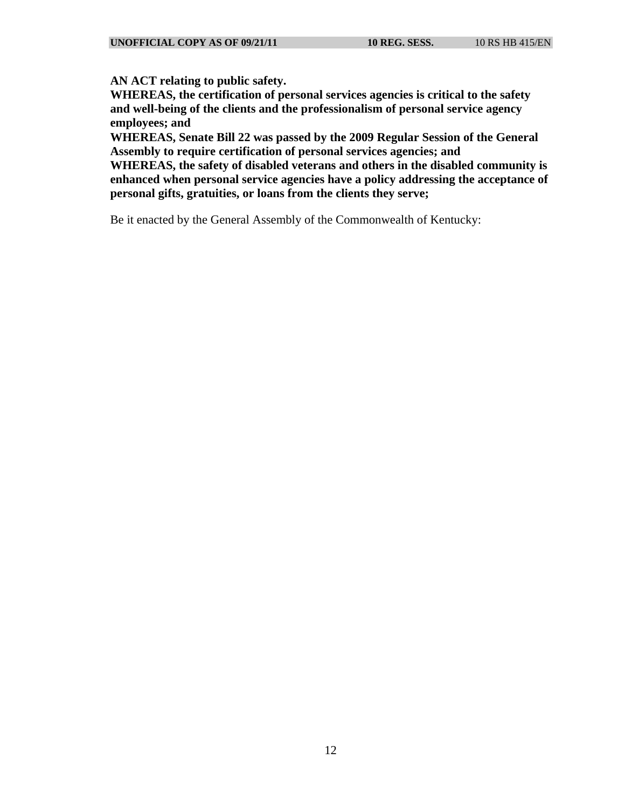**AN ACT relating to public safety.** 

**WHEREAS, the certification of personal services agencies is critical to the safety and well-being of the clients and the professionalism of personal service agency employees; and** 

**WHEREAS, Senate Bill 22 was passed by the 2009 Regular Session of the General Assembly to require certification of personal services agencies; and** 

**WHEREAS, the safety of disabled veterans and others in the disabled community is enhanced when personal service agencies have a policy addressing the acceptance of personal gifts, gratuities, or loans from the clients they serve;** 

Be it enacted by the General Assembly of the Commonwealth of Kentucky: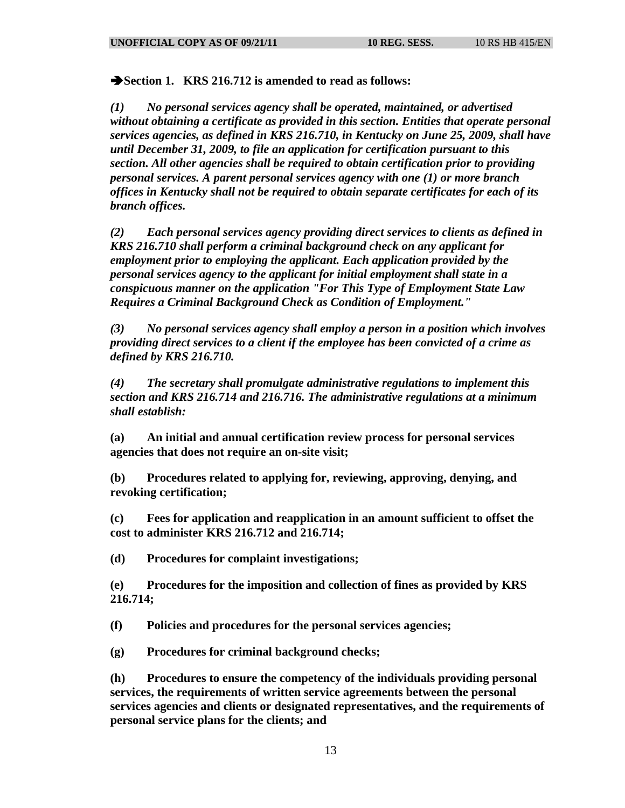**Section 1. KRS 216.712 is amended to read as follows:** 

*(1) No personal services agency shall be operated, maintained, or advertised without obtaining a certificate as provided in this section. Entities that operate personal services agencies, as defined in KRS 216.710, in Kentucky on June 25, 2009, shall have until December 31, 2009, to file an application for certification pursuant to this section. All other agencies shall be required to obtain certification prior to providing personal services. A parent personal services agency with one (1) or more branch offices in Kentucky shall not be required to obtain separate certificates for each of its branch offices.* 

*(2) Each personal services agency providing direct services to clients as defined in KRS 216.710 shall perform a criminal background check on any applicant for employment prior to employing the applicant. Each application provided by the personal services agency to the applicant for initial employment shall state in a conspicuous manner on the application "For This Type of Employment State Law Requires a Criminal Background Check as Condition of Employment."* 

*(3) No personal services agency shall employ a person in a position which involves providing direct services to a client if the employee has been convicted of a crime as defined by KRS 216.710.* 

*(4) The secretary shall promulgate administrative regulations to implement this section and KRS 216.714 and 216.716. The administrative regulations at a minimum shall establish:* 

**(a) An initial and annual certification review process for personal services agencies that does not require an on-site visit;** 

**(b) Procedures related to applying for, reviewing, approving, denying, and revoking certification;** 

**(c) Fees for application and reapplication in an amount sufficient to offset the cost to administer KRS 216.712 and 216.714;** 

**(d) Procedures for complaint investigations;** 

**(e) Procedures for the imposition and collection of fines as provided by KRS 216.714;** 

**(f) Policies and procedures for the personal services agencies;** 

**(g) Procedures for criminal background checks;** 

**(h) Procedures to ensure the competency of the individuals providing personal services, the requirements of written service agreements between the personal services agencies and clients or designated representatives, and the requirements of personal service plans for the clients; and**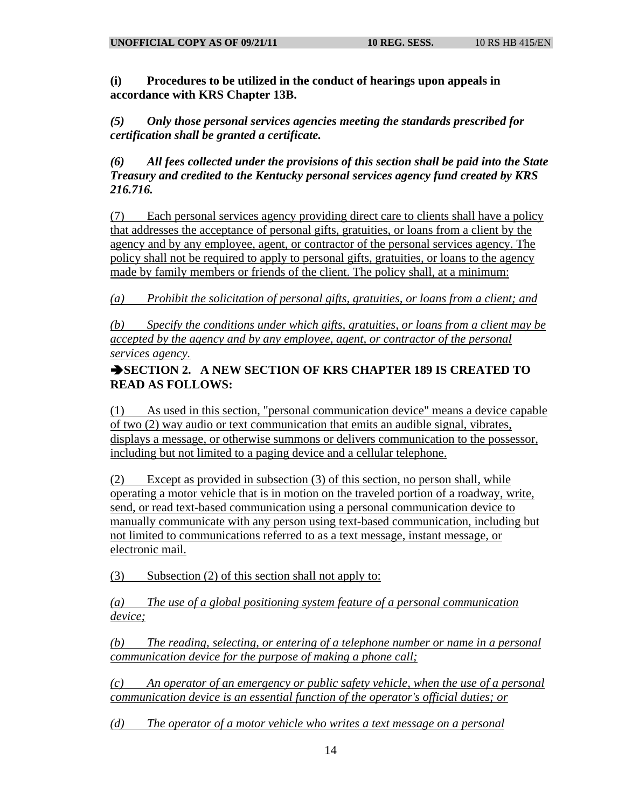**(i) Procedures to be utilized in the conduct of hearings upon appeals in accordance with KRS Chapter 13B.** 

*(5) Only those personal services agencies meeting the standards prescribed for certification shall be granted a certificate.* 

*(6) All fees collected under the provisions of this section shall be paid into the State Treasury and credited to the Kentucky personal services agency fund created by KRS 216.716.* 

(7) Each personal services agency providing direct care to clients shall have a policy that addresses the acceptance of personal gifts, gratuities, or loans from a client by the agency and by any employee, agent, or contractor of the personal services agency. The policy shall not be required to apply to personal gifts, gratuities, or loans to the agency made by family members or friends of the client. The policy shall, at a minimum:

*(a) Prohibit the solicitation of personal gifts, gratuities, or loans from a client; and* 

*(b) Specify the conditions under which gifts, gratuities, or loans from a client may be accepted by the agency and by any employee, agent, or contractor of the personal services agency.*

## **SECTION 2. A NEW SECTION OF KRS CHAPTER 189 IS CREATED TO READ AS FOLLOWS:**

(1) As used in this section, "personal communication device" means a device capable of two (2) way audio or text communication that emits an audible signal, vibrates, displays a message, or otherwise summons or delivers communication to the possessor, including but not limited to a paging device and a cellular telephone.

(2) Except as provided in subsection (3) of this section, no person shall, while operating a motor vehicle that is in motion on the traveled portion of a roadway, write, send, or read text-based communication using a personal communication device to manually communicate with any person using text-based communication, including but not limited to communications referred to as a text message, instant message, or electronic mail.

(3) Subsection (2) of this section shall not apply to:

*(a) The use of a global positioning system feature of a personal communication device;*

*(b) The reading, selecting, or entering of a telephone number or name in a personal communication device for the purpose of making a phone call;*

*(c) An operator of an emergency or public safety vehicle, when the use of a personal communication device is an essential function of the operator's official duties; or*

*(d) The operator of a motor vehicle who writes a text message on a personal*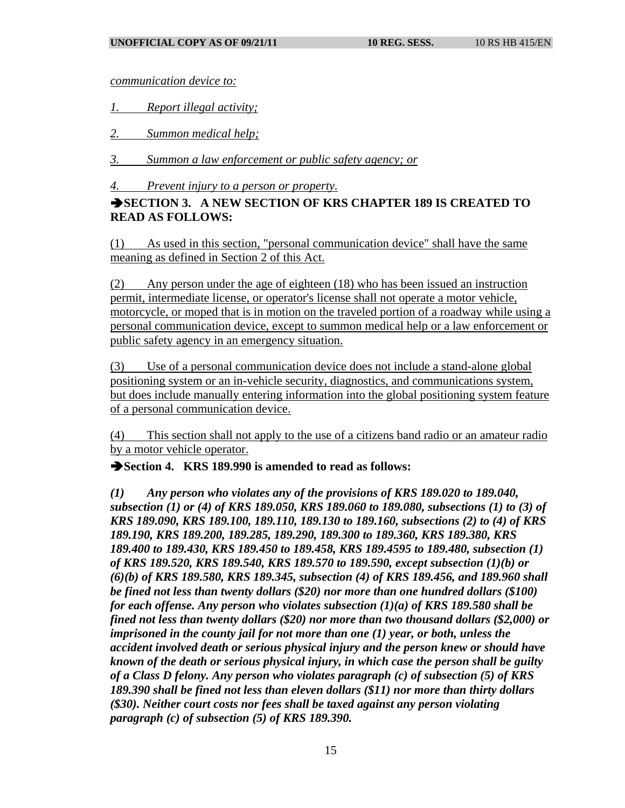*communication device to:*

*1. Report illegal activity;*

*2. Summon medical help;*

*3. Summon a law enforcement or public safety agency; or*

*4. Prevent injury to a person or property.*

## **SECTION 3. A NEW SECTION OF KRS CHAPTER 189 IS CREATED TO READ AS FOLLOWS:**

(1) As used in this section, "personal communication device" shall have the same meaning as defined in Section 2 of this Act.

(2) Any person under the age of eighteen (18) who has been issued an instruction permit, intermediate license, or operator's license shall not operate a motor vehicle, motorcycle, or moped that is in motion on the traveled portion of a roadway while using a personal communication device, except to summon medical help or a law enforcement or public safety agency in an emergency situation.

(3) Use of a personal communication device does not include a stand-alone global positioning system or an in-vehicle security, diagnostics, and communications system, but does include manually entering information into the global positioning system feature of a personal communication device.

(4) This section shall not apply to the use of a citizens band radio or an amateur radio by a motor vehicle operator.

**Section 4. KRS 189.990 is amended to read as follows:** 

*(1) Any person who violates any of the provisions of KRS 189.020 to 189.040, subsection (1) or (4) of KRS 189.050, KRS 189.060 to 189.080, subsections (1) to (3) of KRS 189.090, KRS 189.100, 189.110, 189.130 to 189.160, subsections (2) to (4) of KRS 189.190, KRS 189.200, 189.285, 189.290, 189.300 to 189.360, KRS 189.380, KRS 189.400 to 189.430, KRS 189.450 to 189.458, KRS 189.4595 to 189.480, subsection (1) of KRS 189.520, KRS 189.540, KRS 189.570 to 189.590, except subsection (1)(b) or (6)(b) of KRS 189.580, KRS 189.345, subsection (4) of KRS 189.456, and 189.960 shall be fined not less than twenty dollars (\$20) nor more than one hundred dollars (\$100) for each offense. Any person who violates subsection (1)(a) of KRS 189.580 shall be fined not less than twenty dollars (\$20) nor more than two thousand dollars (\$2,000) or imprisoned in the county jail for not more than one (1) year, or both, unless the accident involved death or serious physical injury and the person knew or should have known of the death or serious physical injury, in which case the person shall be guilty of a Class D felony. Any person who violates paragraph (c) of subsection (5) of KRS 189.390 shall be fined not less than eleven dollars (\$11) nor more than thirty dollars (\$30). Neither court costs nor fees shall be taxed against any person violating paragraph (c) of subsection (5) of KRS 189.390.*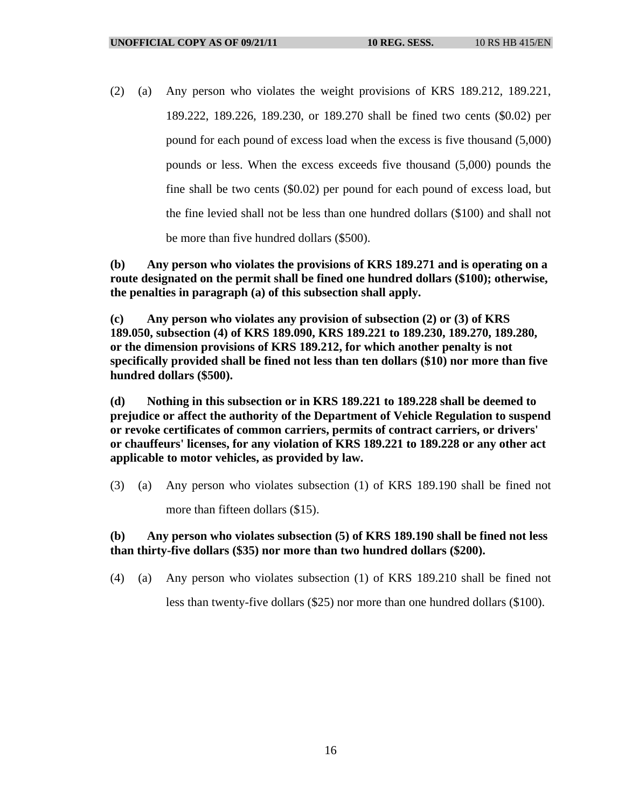(2) (a) Any person who violates the weight provisions of KRS 189.212, 189.221, 189.222, 189.226, 189.230, or 189.270 shall be fined two cents (\$0.02) per pound for each pound of excess load when the excess is five thousand (5,000) pounds or less. When the excess exceeds five thousand (5,000) pounds the fine shall be two cents (\$0.02) per pound for each pound of excess load, but the fine levied shall not be less than one hundred dollars (\$100) and shall not be more than five hundred dollars (\$500).

**(b) Any person who violates the provisions of KRS 189.271 and is operating on a route designated on the permit shall be fined one hundred dollars (\$100); otherwise, the penalties in paragraph (a) of this subsection shall apply.** 

**(c) Any person who violates any provision of subsection (2) or (3) of KRS 189.050, subsection (4) of KRS 189.090, KRS 189.221 to 189.230, 189.270, 189.280, or the dimension provisions of KRS 189.212, for which another penalty is not specifically provided shall be fined not less than ten dollars (\$10) nor more than five hundred dollars (\$500).** 

**(d) Nothing in this subsection or in KRS 189.221 to 189.228 shall be deemed to prejudice or affect the authority of the Department of Vehicle Regulation to suspend or revoke certificates of common carriers, permits of contract carriers, or drivers' or chauffeurs' licenses, for any violation of KRS 189.221 to 189.228 or any other act applicable to motor vehicles, as provided by law.** 

(3) (a) Any person who violates subsection (1) of KRS 189.190 shall be fined not more than fifteen dollars (\$15).

## **(b) Any person who violates subsection (5) of KRS 189.190 shall be fined not less than thirty-five dollars (\$35) nor more than two hundred dollars (\$200).**

(4) (a) Any person who violates subsection (1) of KRS 189.210 shall be fined not

less than twenty-five dollars (\$25) nor more than one hundred dollars (\$100).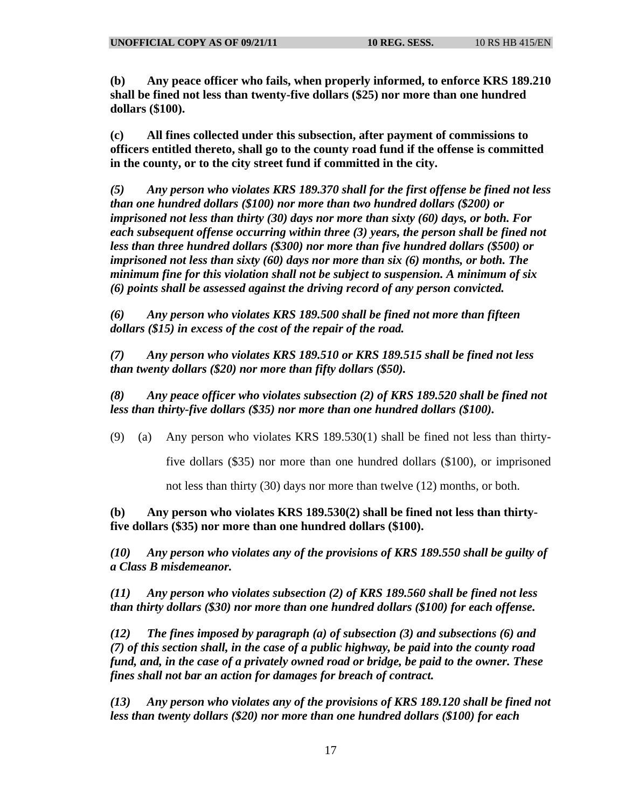**(b) Any peace officer who fails, when properly informed, to enforce KRS 189.210 shall be fined not less than twenty-five dollars (\$25) nor more than one hundred dollars (\$100).** 

**(c) All fines collected under this subsection, after payment of commissions to officers entitled thereto, shall go to the county road fund if the offense is committed in the county, or to the city street fund if committed in the city.** 

*(5) Any person who violates KRS 189.370 shall for the first offense be fined not less than one hundred dollars (\$100) nor more than two hundred dollars (\$200) or imprisoned not less than thirty (30) days nor more than sixty (60) days, or both. For each subsequent offense occurring within three (3) years, the person shall be fined not less than three hundred dollars (\$300) nor more than five hundred dollars (\$500) or imprisoned not less than sixty (60) days nor more than six (6) months, or both. The minimum fine for this violation shall not be subject to suspension. A minimum of six (6) points shall be assessed against the driving record of any person convicted.* 

*(6) Any person who violates KRS 189.500 shall be fined not more than fifteen dollars (\$15) in excess of the cost of the repair of the road.* 

*(7) Any person who violates KRS 189.510 or KRS 189.515 shall be fined not less than twenty dollars (\$20) nor more than fifty dollars (\$50).* 

*(8) Any peace officer who violates subsection (2) of KRS 189.520 shall be fined not less than thirty-five dollars (\$35) nor more than one hundred dollars (\$100).* 

(9) (a) Any person who violates KRS 189.530(1) shall be fined not less than thirty-

five dollars (\$35) nor more than one hundred dollars (\$100), or imprisoned

not less than thirty (30) days nor more than twelve (12) months, or both.

**(b) Any person who violates KRS 189.530(2) shall be fined not less than thirtyfive dollars (\$35) nor more than one hundred dollars (\$100).** 

*(10) Any person who violates any of the provisions of KRS 189.550 shall be guilty of a Class B misdemeanor.* 

*(11) Any person who violates subsection (2) of KRS 189.560 shall be fined not less than thirty dollars (\$30) nor more than one hundred dollars (\$100) for each offense.* 

*(12) The fines imposed by paragraph (a) of subsection (3) and subsections (6) and (7) of this section shall, in the case of a public highway, be paid into the county road fund, and, in the case of a privately owned road or bridge, be paid to the owner. These fines shall not bar an action for damages for breach of contract.* 

*(13) Any person who violates any of the provisions of KRS 189.120 shall be fined not less than twenty dollars (\$20) nor more than one hundred dollars (\$100) for each*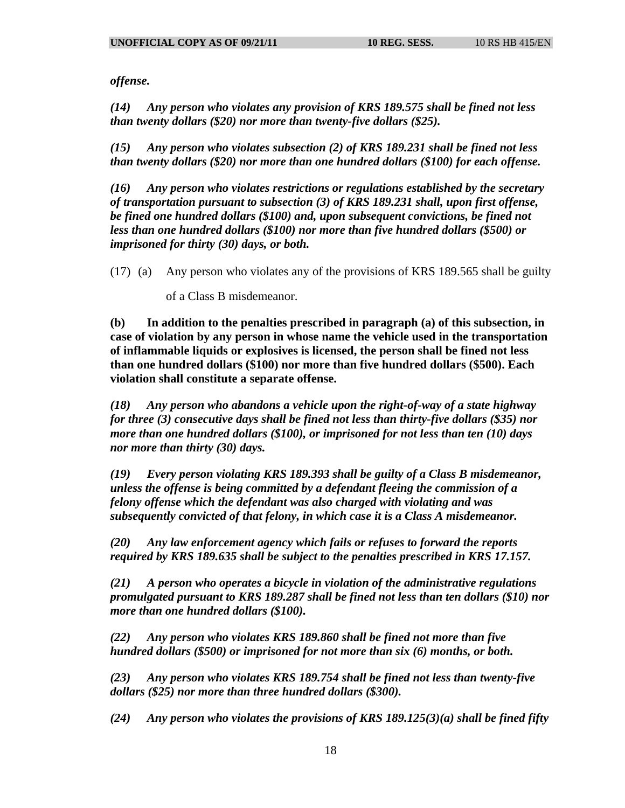*offense.* 

*(14) Any person who violates any provision of KRS 189.575 shall be fined not less than twenty dollars (\$20) nor more than twenty-five dollars (\$25).* 

*(15) Any person who violates subsection (2) of KRS 189.231 shall be fined not less than twenty dollars (\$20) nor more than one hundred dollars (\$100) for each offense.* 

*(16) Any person who violates restrictions or regulations established by the secretary of transportation pursuant to subsection (3) of KRS 189.231 shall, upon first offense, be fined one hundred dollars (\$100) and, upon subsequent convictions, be fined not less than one hundred dollars (\$100) nor more than five hundred dollars (\$500) or imprisoned for thirty (30) days, or both.* 

(17) (a) Any person who violates any of the provisions of KRS 189.565 shall be guilty

of a Class B misdemeanor.

**(b) In addition to the penalties prescribed in paragraph (a) of this subsection, in case of violation by any person in whose name the vehicle used in the transportation of inflammable liquids or explosives is licensed, the person shall be fined not less than one hundred dollars (\$100) nor more than five hundred dollars (\$500). Each violation shall constitute a separate offense.** 

*(18) Any person who abandons a vehicle upon the right-of-way of a state highway for three (3) consecutive days shall be fined not less than thirty-five dollars (\$35) nor more than one hundred dollars (\$100), or imprisoned for not less than ten (10) days nor more than thirty (30) days.* 

*(19) Every person violating KRS 189.393 shall be guilty of a Class B misdemeanor, unless the offense is being committed by a defendant fleeing the commission of a felony offense which the defendant was also charged with violating and was subsequently convicted of that felony, in which case it is a Class A misdemeanor.* 

*(20) Any law enforcement agency which fails or refuses to forward the reports required by KRS 189.635 shall be subject to the penalties prescribed in KRS 17.157.* 

*(21) A person who operates a bicycle in violation of the administrative regulations promulgated pursuant to KRS 189.287 shall be fined not less than ten dollars (\$10) nor more than one hundred dollars (\$100).* 

*(22) Any person who violates KRS 189.860 shall be fined not more than five hundred dollars (\$500) or imprisoned for not more than six (6) months, or both.* 

*(23) Any person who violates KRS 189.754 shall be fined not less than twenty-five dollars (\$25) nor more than three hundred dollars (\$300).* 

*(24) Any person who violates the provisions of KRS 189.125(3)(a) shall be fined fifty*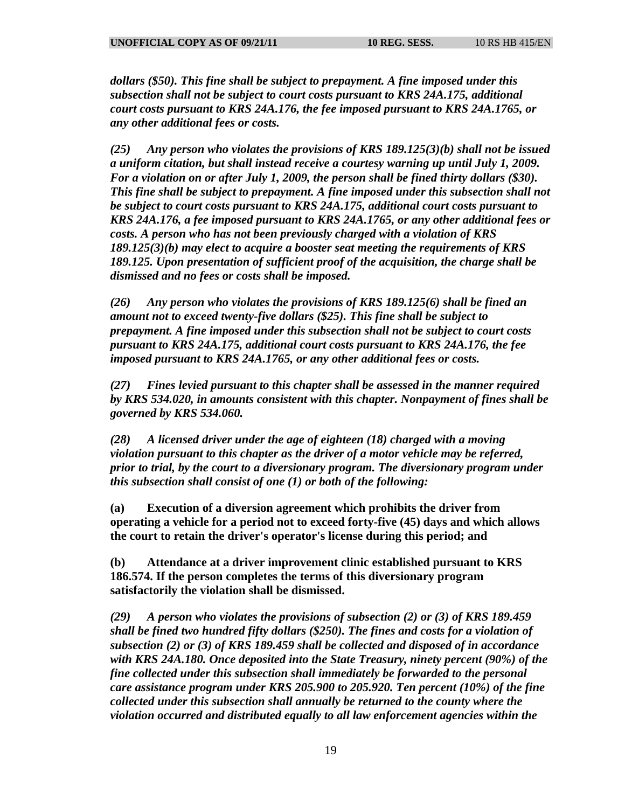*dollars (\$50). This fine shall be subject to prepayment. A fine imposed under this subsection shall not be subject to court costs pursuant to KRS 24A.175, additional court costs pursuant to KRS 24A.176, the fee imposed pursuant to KRS 24A.1765, or any other additional fees or costs.* 

*(25) Any person who violates the provisions of KRS 189.125(3)(b) shall not be issued a uniform citation, but shall instead receive a courtesy warning up until July 1, 2009. For a violation on or after July 1, 2009, the person shall be fined thirty dollars (\$30). This fine shall be subject to prepayment. A fine imposed under this subsection shall not be subject to court costs pursuant to KRS 24A.175, additional court costs pursuant to KRS 24A.176, a fee imposed pursuant to KRS 24A.1765, or any other additional fees or costs. A person who has not been previously charged with a violation of KRS 189.125(3)(b) may elect to acquire a booster seat meeting the requirements of KRS 189.125. Upon presentation of sufficient proof of the acquisition, the charge shall be dismissed and no fees or costs shall be imposed.* 

*(26) Any person who violates the provisions of KRS 189.125(6) shall be fined an amount not to exceed twenty-five dollars (\$25). This fine shall be subject to prepayment. A fine imposed under this subsection shall not be subject to court costs pursuant to KRS 24A.175, additional court costs pursuant to KRS 24A.176, the fee imposed pursuant to KRS 24A.1765, or any other additional fees or costs.* 

*(27) Fines levied pursuant to this chapter shall be assessed in the manner required by KRS 534.020, in amounts consistent with this chapter. Nonpayment of fines shall be governed by KRS 534.060.* 

*(28) A licensed driver under the age of eighteen (18) charged with a moving violation pursuant to this chapter as the driver of a motor vehicle may be referred, prior to trial, by the court to a diversionary program. The diversionary program under this subsection shall consist of one (1) or both of the following:* 

**(a) Execution of a diversion agreement which prohibits the driver from operating a vehicle for a period not to exceed forty-five (45) days and which allows the court to retain the driver's operator's license during this period; and** 

**(b) Attendance at a driver improvement clinic established pursuant to KRS 186.574. If the person completes the terms of this diversionary program satisfactorily the violation shall be dismissed.** 

*(29) A person who violates the provisions of subsection (2) or (3) of KRS 189.459 shall be fined two hundred fifty dollars (\$250). The fines and costs for a violation of subsection (2) or (3) of KRS 189.459 shall be collected and disposed of in accordance with KRS 24A.180. Once deposited into the State Treasury, ninety percent (90%) of the fine collected under this subsection shall immediately be forwarded to the personal care assistance program under KRS 205.900 to 205.920. Ten percent (10%) of the fine collected under this subsection shall annually be returned to the county where the violation occurred and distributed equally to all law enforcement agencies within the*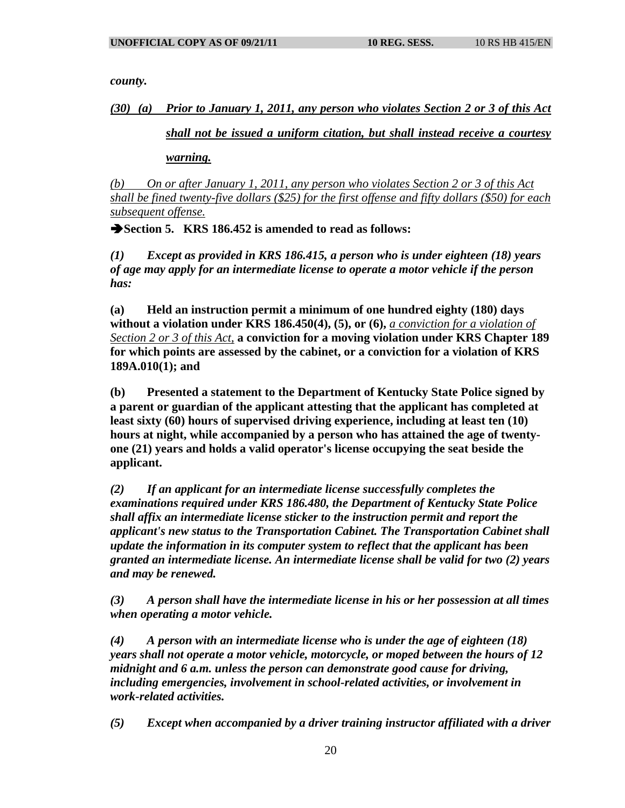*county.* 

*(30) (a) Prior to January 1, 2011, any person who violates Section 2 or 3 of this Act* 

*shall not be issued a uniform citation, but shall instead receive a courtesy* 

*warning.*

*(b) On or after January 1, 2011, any person who violates Section 2 or 3 of this Act shall be fined twenty-five dollars (\$25) for the first offense and fifty dollars (\$50) for each subsequent offense.*

**Section 5. KRS 186.452 is amended to read as follows:** 

*(1) Except as provided in KRS 186.415, a person who is under eighteen (18) years of age may apply for an intermediate license to operate a motor vehicle if the person has:* 

**(a) Held an instruction permit a minimum of one hundred eighty (180) days without a violation under KRS 186.450(4), (5), or (6),** *a conviction for a violation of Section 2 or 3 of this Act,* **a conviction for a moving violation under KRS Chapter 189 for which points are assessed by the cabinet, or a conviction for a violation of KRS 189A.010(1); and** 

**(b) Presented a statement to the Department of Kentucky State Police signed by a parent or guardian of the applicant attesting that the applicant has completed at least sixty (60) hours of supervised driving experience, including at least ten (10) hours at night, while accompanied by a person who has attained the age of twentyone (21) years and holds a valid operator's license occupying the seat beside the applicant.** 

*(2) If an applicant for an intermediate license successfully completes the examinations required under KRS 186.480, the Department of Kentucky State Police shall affix an intermediate license sticker to the instruction permit and report the applicant's new status to the Transportation Cabinet. The Transportation Cabinet shall update the information in its computer system to reflect that the applicant has been granted an intermediate license. An intermediate license shall be valid for two (2) years and may be renewed.* 

*(3) A person shall have the intermediate license in his or her possession at all times when operating a motor vehicle.* 

*(4) A person with an intermediate license who is under the age of eighteen (18) years shall not operate a motor vehicle, motorcycle, or moped between the hours of 12 midnight and 6 a.m. unless the person can demonstrate good cause for driving, including emergencies, involvement in school-related activities, or involvement in work-related activities.* 

*(5) Except when accompanied by a driver training instructor affiliated with a driver*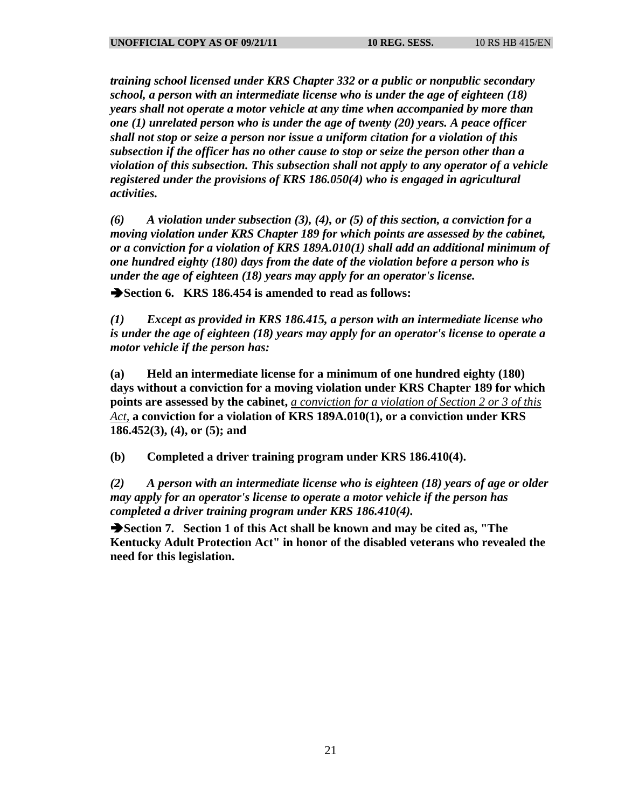*training school licensed under KRS Chapter 332 or a public or nonpublic secondary school, a person with an intermediate license who is under the age of eighteen (18) years shall not operate a motor vehicle at any time when accompanied by more than one (1) unrelated person who is under the age of twenty (20) years. A peace officer shall not stop or seize a person nor issue a uniform citation for a violation of this subsection if the officer has no other cause to stop or seize the person other than a violation of this subsection. This subsection shall not apply to any operator of a vehicle registered under the provisions of KRS 186.050(4) who is engaged in agricultural activities.* 

*(6) A violation under subsection (3), (4), or (5) of this section, a conviction for a moving violation under KRS Chapter 189 for which points are assessed by the cabinet, or a conviction for a violation of KRS 189A.010(1) shall add an additional minimum of one hundred eighty (180) days from the date of the violation before a person who is under the age of eighteen (18) years may apply for an operator's license.* 

**Section 6. KRS 186.454 is amended to read as follows:** 

*(1) Except as provided in KRS 186.415, a person with an intermediate license who is under the age of eighteen (18) years may apply for an operator's license to operate a motor vehicle if the person has:* 

**(a) Held an intermediate license for a minimum of one hundred eighty (180) days without a conviction for a moving violation under KRS Chapter 189 for which points are assessed by the cabinet,** *a conviction for a violation of Section 2 or 3 of this Act,* **a conviction for a violation of KRS 189A.010(1), or a conviction under KRS 186.452(3), (4), or (5); and** 

**(b) Completed a driver training program under KRS 186.410(4).** 

*(2) A person with an intermediate license who is eighteen (18) years of age or older may apply for an operator's license to operate a motor vehicle if the person has completed a driver training program under KRS 186.410(4).* 

**Section 7. Section 1 of this Act shall be known and may be cited as, "The Kentucky Adult Protection Act" in honor of the disabled veterans who revealed the need for this legislation.**